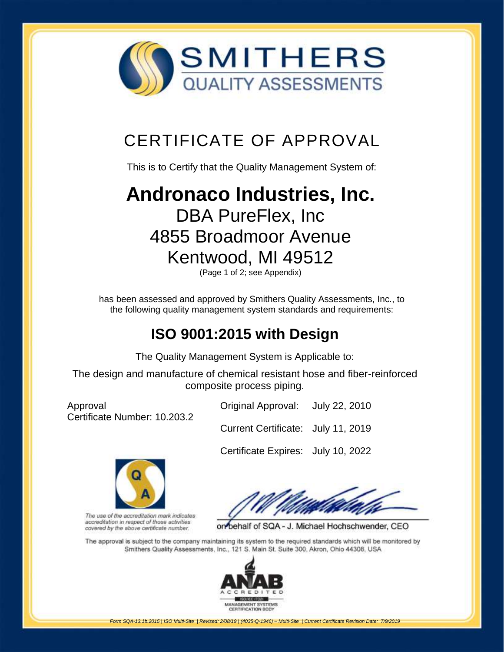

## CERTIFICATE OF APPROVAL

This is to Certify that the Quality Management System of:

# **[Andronaco Industries, Inc.](http://www.smithersregistrar.com/)** DBA PureFlex, Inc 4855 Broadmoor Avenue Kentwood, MI 49512

(Page 1 of 2; see Appendix)

has been assessed and approved by Smithers Quality Assessments, Inc., to the following quality management system standards and requirements:

## **ISO 9001:2015 with Design**

The Quality Management System is Applicable to:

The design and manufacture of chemical resistant hose and fiber-reinforced composite process piping.

Approval Certificate Number: 10.203.2 Original Approval: July 22, 2010

Current Certificate: July 11, 2019

Certificate Expires: July 10, 2022



The use of the accreditation mark indicates accreditation in respect of those activities covered by the above certificate number.

on behalf of SQA - J. Michael Hochschwender, CEO

The approval is subject to the company maintaining its system to the required standards which will be monitored by Smithers Quality Assessments, Inc., 121 S. Main St. Suite 300, Akron, Ohio 44308, USA